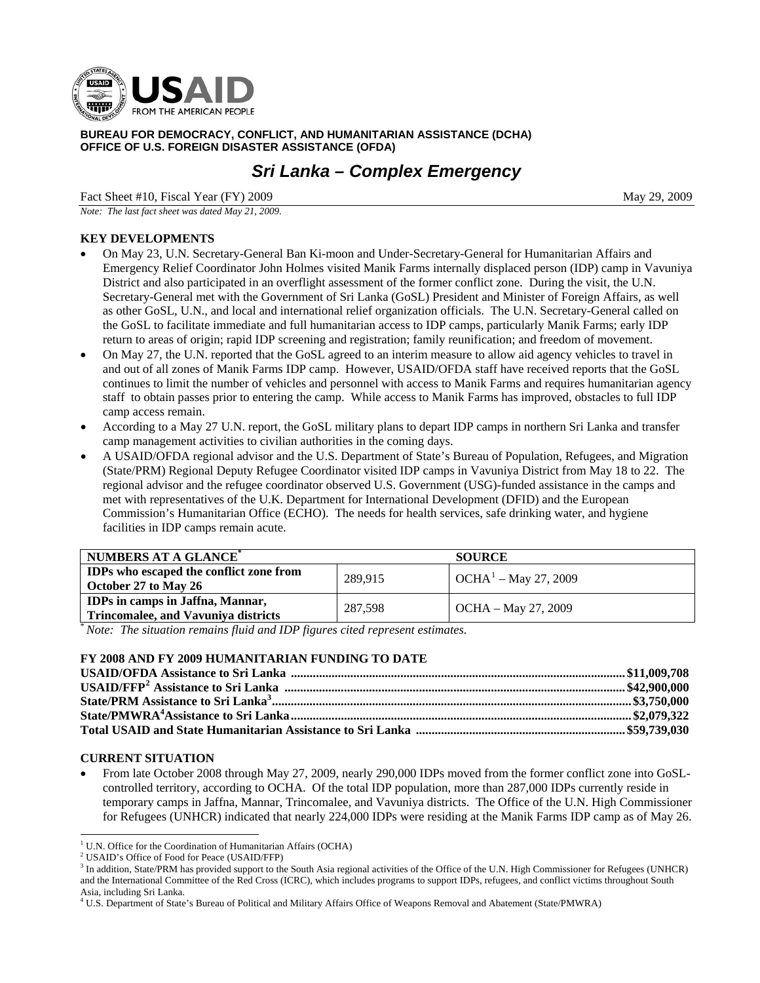

**BUREAU FOR DEMOCRACY, CONFLICT, AND HUMANITARIAN ASSISTANCE (DCHA) OFFICE OF U.S. FOREIGN DISASTER ASSISTANCE (OFDA)** 

# *Sri Lanka – Complex Emergency*

Fact Sheet #10, Fiscal Year (FY) 2009 May 29, 2009

*Note: The last fact sheet was dated May 21, 2009.* 

## **KEY DEVELOPMENTS**

- On May 23, U.N. Secretary-General Ban Ki-moon and Under-Secretary-General for Humanitarian Affairs and Emergency Relief Coordinator John Holmes visited Manik Farms internally displaced person (IDP) camp in Vavuniya District and also participated in an overflight assessment of the former conflict zone. During the visit, the U.N. Secretary-General met with the Government of Sri Lanka (GoSL) President and Minister of Foreign Affairs, as well as other GoSL, U.N., and local and international relief organization officials. The U.N. Secretary-General called on the GoSL to facilitate immediate and full humanitarian access to IDP camps, particularly Manik Farms; early IDP return to areas of origin; rapid IDP screening and registration; family reunification; and freedom of movement.
- On May 27, the U.N. reported that the GoSL agreed to an interim measure to allow aid agency vehicles to travel in and out of all zones of Manik Farms IDP camp. However, USAID/OFDA staff have received reports that the GoSL continues to limit the number of vehicles and personnel with access to Manik Farms and requires humanitarian agency staff to obtain passes prior to entering the camp. While access to Manik Farms has improved, obstacles to full IDP camp access remain.
- According to a May 27 U.N. report, the GoSL military plans to depart IDP camps in northern Sri Lanka and transfer camp management activities to civilian authorities in the coming days.
- A USAID/OFDA regional advisor and the U.S. Department of State's Bureau of Population, Refugees, and Migration (State/PRM) Regional Deputy Refugee Coordinator visited IDP camps in Vavuniya District from May 18 to 22. The regional advisor and the refugee coordinator observed U.S. Government (USG)-funded assistance in the camps and met with representatives of the U.K. Department for International Development (DFID) and the European Commission's Humanitarian Office (ECHO). The needs for health services, safe drinking water, and hygiene facilities in IDP camps remain acute.

| NUMBERS AT A GLANCE <sup>*</sup>                                                       |         | <b>SOURCE</b>                             |  |
|----------------------------------------------------------------------------------------|---------|-------------------------------------------|--|
| IDPs who escaped the conflict zone from<br>October 27 to May 26                        | 289.915 | $\sqrt{C H A^1 - M}$ $\sqrt{C H A^2 + M}$ |  |
| <b>IDPs in camps in Jaffna</b> , Mannar,<br><b>Trincomalee, and Vavuniya districts</b> | 287.598 | OCHA – May 27, 2009                       |  |

\* *Note: The situation remains fluid and IDP figures cited represent estimates.* 

#### **FY 2008 AND FY 2009 HUMANITARIAN FUNDING TO DATE**

### **CURRENT SITUATION**

l

• From late October 2008 through May 27, 2009, nearly 290,000 IDPs moved from the former conflict zone into GoSLcontrolled territory, according to OCHA. Of the total IDP population, more than 287,000 IDPs currently reside in temporary camps in Jaffna, Mannar, Trincomalee, and Vavuniya districts.The Office of the U.N. High Commissioner for Refugees (UNHCR) indicated that nearly 224,000 IDPs were residing at the Manik Farms IDP camp as of May 26.

<span id="page-0-0"></span><sup>&</sup>lt;sup>1</sup> U.N. Office for the Coordination of Humanitarian Affairs (OCHA)

<sup>2</sup> USAID's Office of Food for Peace (USAID/FFP)

<span id="page-0-1"></span><sup>&</sup>lt;sup>3</sup> In addition, State/PRM has provided support to the South Asia regional activities of the Office of the U.N. High Commissioner for Refugees (UNHCR) and the International Committee of the Red Cross (ICRC), which includes programs to support IDPs, refugees, and conflict victims throughout South Asia, including Sri Lanka.

<sup>4</sup> U.S. Department of State's Bureau of Political and Military Affairs Office of Weapons Removal and Abatement (State/PMWRA)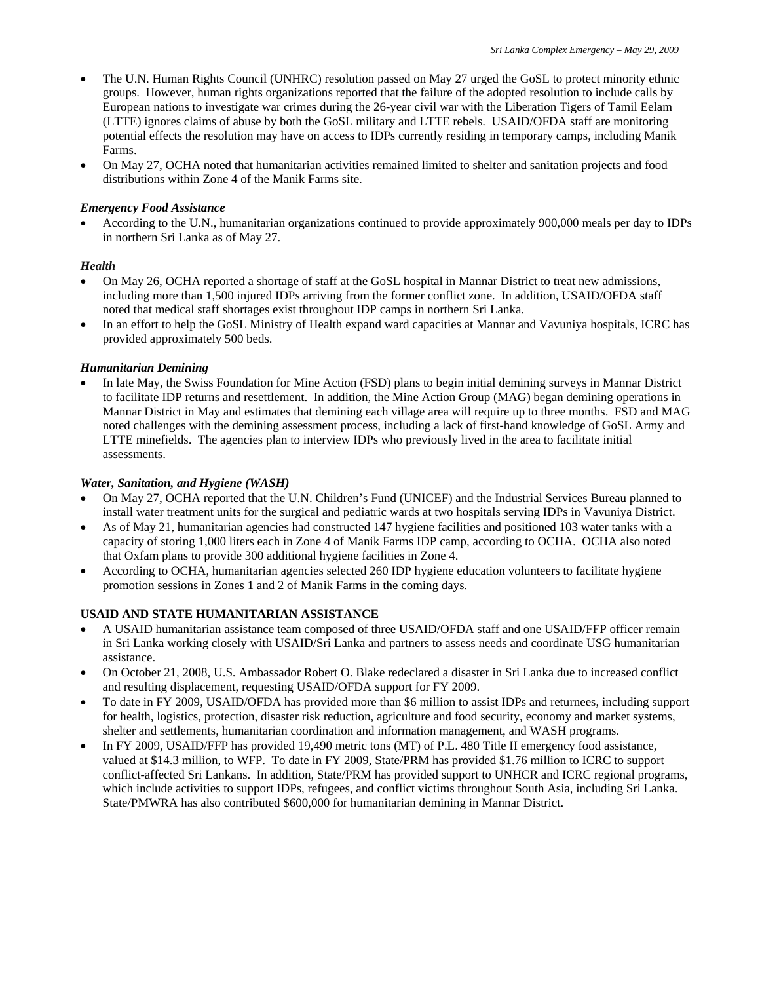- The U.N. Human Rights Council (UNHRC) resolution passed on May 27 urged the GoSL to protect minority ethnic groups. However, human rights organizations reported that the failure of the adopted resolution to include calls by European nations to investigate war crimes during the 26-year civil war with the Liberation Tigers of Tamil Eelam (LTTE) ignores claims of abuse by both the GoSL military and LTTE rebels. USAID/OFDA staff are monitoring potential effects the resolution may have on access to IDPs currently residing in temporary camps, including Manik Farms.
- On May 27, OCHA noted that humanitarian activities remained limited to shelter and sanitation projects and food distributions within Zone 4 of the Manik Farms site.

#### *Emergency Food Assistance*

• According to the U.N., humanitarian organizations continued to provide approximately 900,000 meals per day to IDPs in northern Sri Lanka as of May 27.

#### *Health*

- On May 26, OCHA reported a shortage of staff at the GoSL hospital in Mannar District to treat new admissions, including more than 1,500 injured IDPs arriving from the former conflict zone. In addition, USAID/OFDA staff noted that medical staff shortages exist throughout IDP camps in northern Sri Lanka.
- In an effort to help the GoSL Ministry of Health expand ward capacities at Mannar and Vavuniya hospitals, ICRC has provided approximately 500 beds.

#### *Humanitarian Demining*

• In late May, the Swiss Foundation for Mine Action (FSD) plans to begin initial demining surveys in Mannar District to facilitate IDP returns and resettlement. In addition, the Mine Action Group (MAG) began demining operations in Mannar District in May and estimates that demining each village area will require up to three months. FSD and MAG noted challenges with the demining assessment process, including a lack of first-hand knowledge of GoSL Army and LTTE minefields. The agencies plan to interview IDPs who previously lived in the area to facilitate initial assessments.

#### *Water, Sanitation, and Hygiene (WASH)*

- On May 27, OCHA reported that the U.N. Children's Fund (UNICEF) and the Industrial Services Bureau planned to install water treatment units for the surgical and pediatric wards at two hospitals serving IDPs in Vavuniya District.
- As of May 21, humanitarian agencies had constructed 147 hygiene facilities and positioned 103 water tanks with a capacity of storing 1,000 liters each in Zone 4 of Manik Farms IDP camp, according to OCHA. OCHA also noted that Oxfam plans to provide 300 additional hygiene facilities in Zone 4.
- According to OCHA, humanitarian agencies selected 260 IDP hygiene education volunteers to facilitate hygiene promotion sessions in Zones 1 and 2 of Manik Farms in the coming days.

#### **USAID AND STATE HUMANITARIAN ASSISTANCE**

- A USAID humanitarian assistance team composed of three USAID/OFDA staff and one USAID/FFP officer remain in Sri Lanka working closely with USAID/Sri Lanka and partners to assess needs and coordinate USG humanitarian assistance.
- On October 21, 2008, U.S. Ambassador Robert O. Blake redeclared a disaster in Sri Lanka due to increased conflict and resulting displacement, requesting USAID/OFDA support for FY 2009.
- To date in FY 2009, USAID/OFDA has provided more than \$6 million to assist IDPs and returnees, including support for health, logistics, protection, disaster risk reduction, agriculture and food security, economy and market systems, shelter and settlements, humanitarian coordination and information management, and WASH programs.
- In FY 2009, USAID/FFP has provided 19,490 metric tons (MT) of P.L. 480 Title II emergency food assistance, valued at \$14.3 million, to WFP. To date in FY 2009, State/PRM has provided \$1.76 million to ICRC to support conflict-affected Sri Lankans. In addition, State/PRM has provided support to UNHCR and ICRC regional programs, which include activities to support IDPs, refugees, and conflict victims throughout South Asia, including Sri Lanka. State/PMWRA has also contributed \$600,000 for humanitarian demining in Mannar District.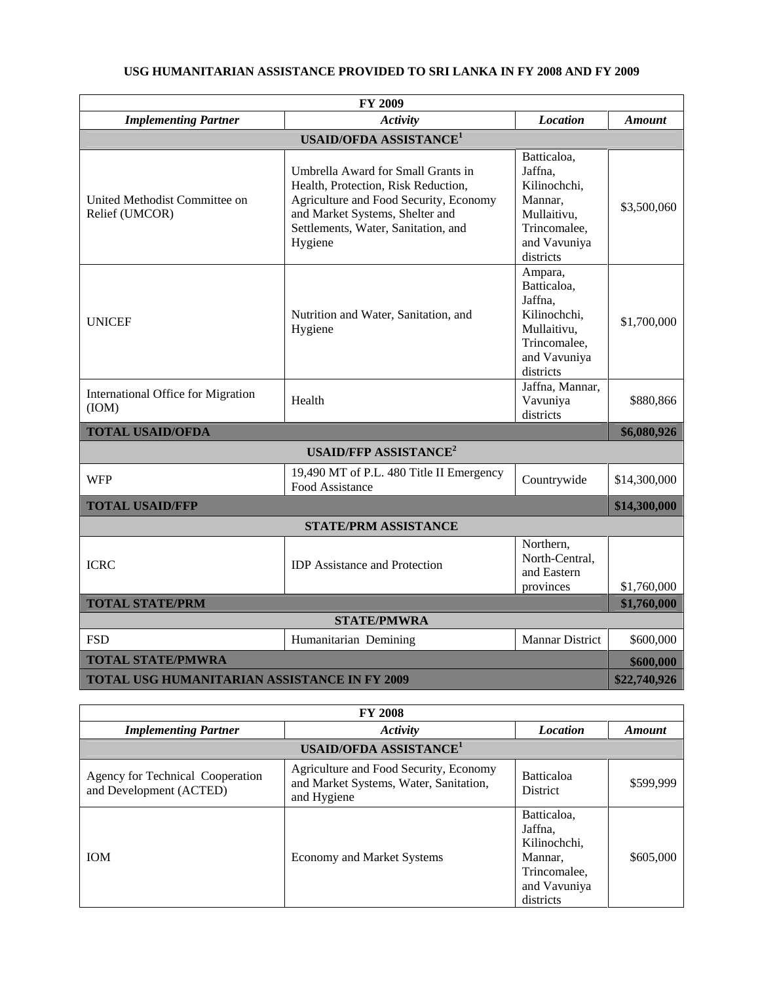| <b>FY 2009</b>                                      |                                                                                                                                                                                                          |                                                                                                               |               |
|-----------------------------------------------------|----------------------------------------------------------------------------------------------------------------------------------------------------------------------------------------------------------|---------------------------------------------------------------------------------------------------------------|---------------|
| <b>Implementing Partner</b>                         | <b>Activity</b>                                                                                                                                                                                          | <b>Location</b>                                                                                               | <b>Amount</b> |
|                                                     | <b>USAID/OFDA ASSISTANCE<sup>1</sup></b>                                                                                                                                                                 |                                                                                                               |               |
| United Methodist Committee on<br>Relief (UMCOR)     | Umbrella Award for Small Grants in<br>Health, Protection, Risk Reduction,<br>Agriculture and Food Security, Economy<br>and Market Systems, Shelter and<br>Settlements, Water, Sanitation, and<br>Hygiene | Batticaloa,<br>Jaffna,<br>Kilinochchi,<br>Mannar,<br>Mullaitivu,<br>Trincomalee,<br>and Vavuniya<br>districts | \$3,500,060   |
| <b>UNICEF</b>                                       | Nutrition and Water, Sanitation, and<br>Hygiene                                                                                                                                                          | Ampara,<br>Batticaloa,<br>Jaffna,<br>Kilinochchi,<br>Mullaitivu,<br>Trincomalee,<br>and Vavuniya<br>districts | \$1,700,000   |
| <b>International Office for Migration</b><br>(ION)  | Health                                                                                                                                                                                                   | Jaffna, Mannar,<br>Vavuniya<br>districts                                                                      | \$880,866     |
| <b>TOTAL USAID/OFDA</b>                             |                                                                                                                                                                                                          |                                                                                                               | \$6,080,926   |
|                                                     | <b>USAID/FFP ASSISTANCE<sup>2</sup></b>                                                                                                                                                                  |                                                                                                               |               |
| <b>WFP</b>                                          | 19,490 MT of P.L. 480 Title II Emergency<br>Food Assistance                                                                                                                                              | Countrywide                                                                                                   | \$14,300,000  |
| <b>TOTAL USAID/FFP</b>                              |                                                                                                                                                                                                          |                                                                                                               | \$14,300,000  |
| <b>STATE/PRM ASSISTANCE</b>                         |                                                                                                                                                                                                          |                                                                                                               |               |
| <b>ICRC</b>                                         | <b>IDP</b> Assistance and Protection                                                                                                                                                                     | Northern,<br>North-Central,<br>and Eastern<br>provinces                                                       | \$1,760,000   |
| <b>TOTAL STATE/PRM</b>                              |                                                                                                                                                                                                          | \$1,760,000                                                                                                   |               |
| <b>STATE/PMWRA</b>                                  |                                                                                                                                                                                                          |                                                                                                               |               |
| <b>FSD</b>                                          | Humanitarian Demining                                                                                                                                                                                    | <b>Mannar District</b>                                                                                        | \$600,000     |
| <b>TOTAL STATE/PMWRA</b>                            |                                                                                                                                                                                                          | \$600,000                                                                                                     |               |
| <b>TOTAL USG HUMANITARIAN ASSISTANCE IN FY 2009</b> |                                                                                                                                                                                                          |                                                                                                               | \$22,740,926  |

# **USG HUMANITARIAN ASSISTANCE PROVIDED TO SRI LANKA IN FY 2008 AND FY 2009**

| <b>FY 2008</b>                                              |                                                                                                 |                                                                                                |           |  |
|-------------------------------------------------------------|-------------------------------------------------------------------------------------------------|------------------------------------------------------------------------------------------------|-----------|--|
| <b>Implementing Partner</b>                                 | Activity                                                                                        | <b>Location</b>                                                                                | Amount    |  |
| <b>USAID/OFDA ASSISTANCE<sup>1</sup></b>                    |                                                                                                 |                                                                                                |           |  |
| Agency for Technical Cooperation<br>and Development (ACTED) | Agriculture and Food Security, Economy<br>and Market Systems, Water, Sanitation,<br>and Hygiene | <b>Batticaloa</b><br><b>District</b>                                                           | \$599.999 |  |
| <b>IOM</b>                                                  | <b>Economy and Market Systems</b>                                                               | Batticaloa,<br>Jaffna,<br>Kilinochchi.<br>Mannar.<br>Trincomalee,<br>and Vavuniya<br>districts | \$605,000 |  |